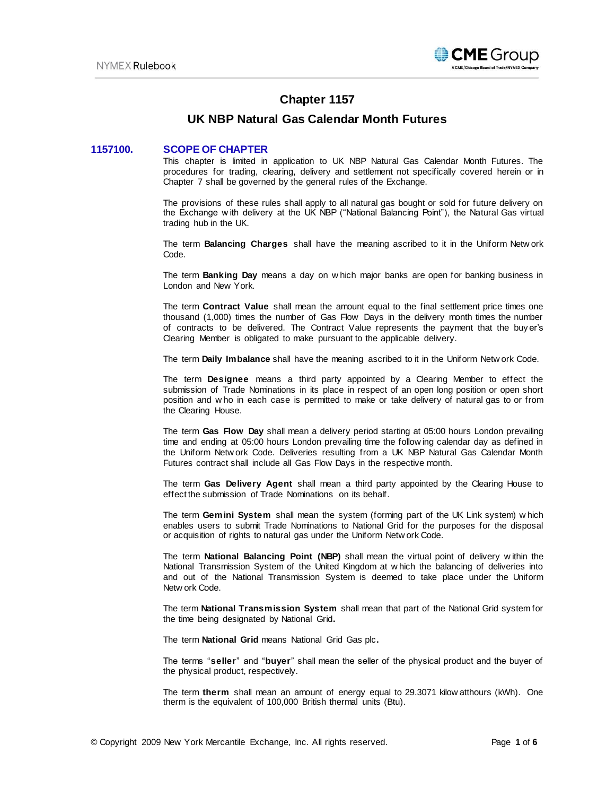

# **Chapter 1157**

# **UK NBP Natural Gas Calendar Month Futures**

# **1157100. SCOPE OF CHAPTER**

This chapter is limited in application to UK NBP Natural Gas Calendar Month Futures. The procedures for trading, clearing, delivery and settlement not specifically covered herein or in Chapter 7 shall be governed by the general rules of the Exchange.

The provisions of these rules shall apply to all natural gas bought or sold for future delivery on the Exchange w ith delivery at the UK NBP ("National Balancing Point"), the Natural Gas virtual trading hub in the UK.

The term **Balancing Charges** shall have the meaning ascribed to it in the Uniform Netw ork Code.

The term **Banking Day** means a day on w hich major banks are open for banking business in London and New York.

The term **Contract Value** shall mean the amount equal to the final settlement price times one thousand (1,000) times the number of Gas Flow Days in the delivery month times the number of contracts to be delivered. The Contract Value represents the payment that the buy er's Clearing Member is obligated to make pursuant to the applicable delivery.

The term **Daily Imbalance** shall have the meaning ascribed to it in the Uniform Netw ork Code.

The term **Designee** means a third party appointed by a Clearing Member to effect the submission of Trade Nominations in its place in respect of an open long position or open short position and w ho in each case is permitted to make or take delivery of natural gas to or from the Clearing House.

The term **Gas Flow Day** shall mean a delivery period starting at 05:00 hours London prevailing time and ending at 05:00 hours London prevailing time the follow ing calendar day as defined in the Uniform Netw ork Code. Deliveries resulting from a UK NBP Natural Gas Calendar Month Futures contract shall include all Gas Flow Days in the respective month.

The term **Gas Delivery Agent** shall mean a third party appointed by the Clearing House to effect the submission of Trade Nominations on its behalf.

The term **Gemini System** shall mean the system (forming part of the UK Link system) w hich enables users to submit Trade Nominations to National Grid for the purposes for the disposal or acquisition of rights to natural gas under the Uniform Netw ork Code.

The term **National Balancing Point (NBP)** shall mean the virtual point of delivery w ithin the National Transmission System of the United Kingdom at w hich the balancing of deliveries into and out of the National Transmission System is deemed to take place under the Uniform Netw ork Code.

The term **National Transmission System** shall mean that part of the National Grid system for the time being designated by National Grid**.**

The term **National Grid** means National Grid Gas plc**.**

The terms "**seller**" and "**buyer**" shall mean the seller of the physical product and the buyer of the physical product, respectively.

The term **therm** shall mean an amount of energy equal to 29.3071 kilow atthours (kWh). One therm is the equivalent of 100,000 British thermal units (Btu).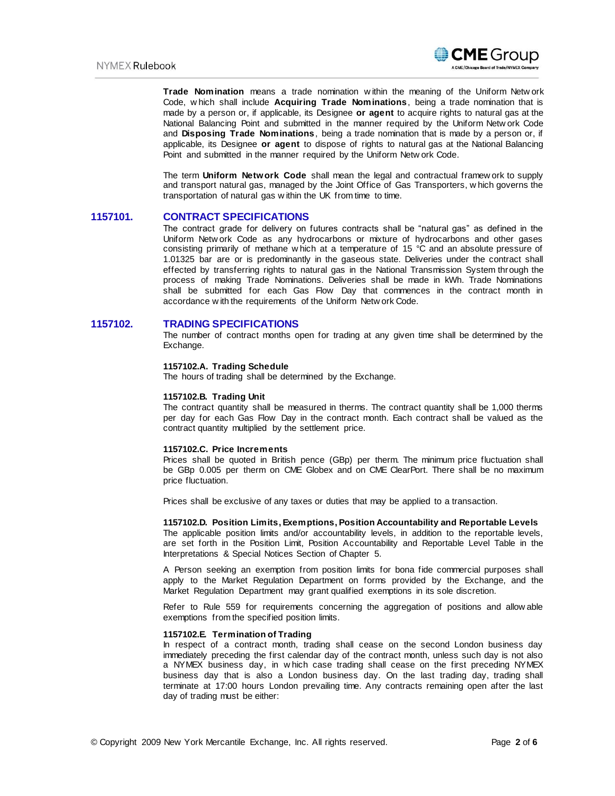

**Trade Nomination** means a trade nomination w ithin the meaning of the Uniform Netw ork Code, w hich shall include **Acquiring Trade Nominations**, being a trade nomination that is made by a person or, if applicable, its Designee **or agent** to acquire rights to natural gas at the National Balancing Point and submitted in the manner required by the Uniform Netw ork Code and **Disposing Trade Nominations**, being a trade nomination that is made by a person or, if applicable, its Designee **or agent** to dispose of rights to natural gas at the National Balancing Point and submitted in the manner required by the Uniform Netw ork Code.

The term **Uniform Network Code** shall mean the legal and contractual framew ork to supply and transport natural gas, managed by the Joint Office of Gas Transporters, w hich governs the transportation of natural gas w ithin the UK from time to time.

## **1157101. CONTRACT SPECIFICATIONS**

The contract grade for delivery on futures contracts shall be "natural gas" as defined in the Uniform Netw ork Code as any hydrocarbons or mixture of hydrocarbons and other gases consisting primarily of methane w hich at a temperature of 15 °C and an absolute pressure of 1.01325 bar are or is predominantly in the gaseous state. Deliveries under the contract shall effected by transferring rights to natural gas in the National Transmission System through the process of making Trade Nominations. Deliveries shall be made in kWh. Trade Nominations shall be submitted for each Gas Flow Day that commences in the contract month in accordance w ith the requirements of the Uniform Netw ork Code.

## **1157102. TRADING SPECIFICATIONS**

The number of contract months open for trading at any given time shall be determined by the Exchange.

## **1157102.A. Trading Schedule**

The hours of trading shall be determined by the Exchange.

#### **1157102.B. Trading Unit**

The contract quantity shall be measured in therms. The contract quantity shall be 1,000 therms per day for each Gas Flow Day in the contract month. Each contract shall be valued as the contract quantity multiplied by the settlement price.

## **1157102.C. Price Increments**

Prices shall be quoted in British pence (GBp) per therm. The minimum price fluctuation shall be GBp 0.005 per therm on CME Globex and on CME ClearPort. There shall be no maximum price fluctuation.

Prices shall be exclusive of any taxes or duties that may be applied to a transaction.

#### **1157102.D. Position Limits, Exemptions, Position Accountability and Reportable Levels**

The applicable position limits and/or accountability levels, in addition to the reportable levels, are set forth in the Position Limit, Position Accountability and Reportable Level Table in the Interpretations & Special Notices Section of Chapter 5.

A Person seeking an exemption from position limits for bona fide commercial purposes shall apply to the Market Regulation Department on forms provided by the Exchange, and the Market Regulation Department may grant qualified exemptions in its sole discretion.

Refer to Rule 559 for requirements concerning the aggregation of positions and allow able exemptions from the specified position limits.

## **1157102.E. Termination of Trading**

In respect of a contract month, trading shall cease on the second London business day immediately preceding the first calendar day of the contract month, unless such day is not also a NYMEX business day, in w hich case trading shall cease on the first preceding NYMEX business day that is also a London business day. On the last trading day, trading shall terminate at 17:00 hours London prevailing time. Any contracts remaining open after the last day of trading must be either: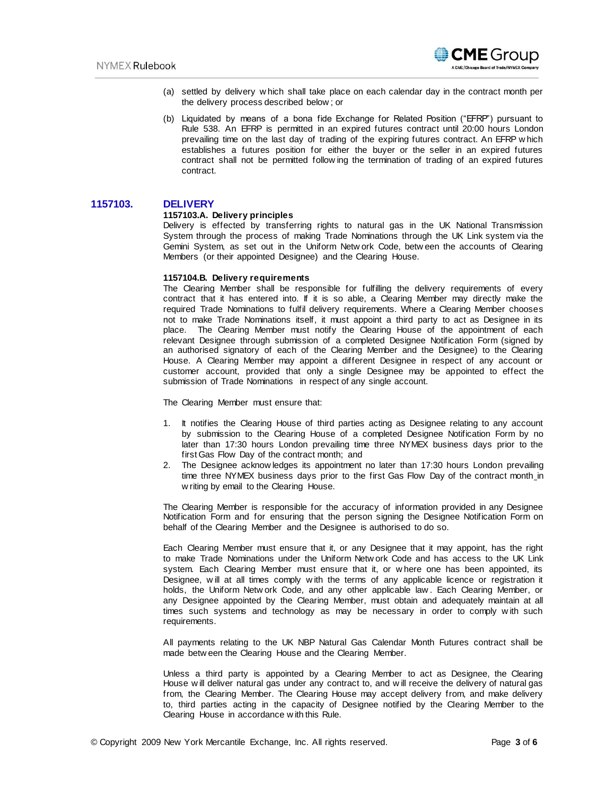

- (a) settled by delivery w hich shall take place on each calendar day in the contract month per the delivery process described below ; or
- (b) Liquidated by means of a bona fide Exchange for Related Position ("EFRP") pursuant to Rule 538. An EFRP is permitted in an expired futures contract until 20:00 hours London prevailing time on the last day of trading of the expiring futures contract. An EFRP w hich establishes a futures position for either the buyer or the seller in an expired futures contract shall not be permitted follow ing the termination of trading of an expired futures contract.

# **1157103. DELIVERY**

#### **1157103.A. Delivery principles**

Delivery is effected by transferring rights to natural gas in the UK National Transmission System through the process of making Trade Nominations through the UK Link system via the Gemini System, as set out in the Uniform Netw ork Code, betw een the accounts of Clearing Members (or their appointed Designee) and the Clearing House.

#### **1157104.B. Delivery requirements**

The Clearing Member shall be responsible for fulfilling the delivery requirements of every contract that it has entered into. If it is so able, a Clearing Member may directly make the required Trade Nominations to fulfil delivery requirements. Where a Clearing Member chooses not to make Trade Nominations itself, it must appoint a third party to act as Designee in its place. The Clearing Member must notify the Clearing House of the appointment of each relevant Designee through submission of a completed Designee Notification Form (signed by an authorised signatory of each of the Clearing Member and the Designee) to the Clearing House. A Clearing Member may appoint a different Designee in respect of any account or customer account, provided that only a single Designee may be appointed to effect the submission of Trade Nominations in respect of any single account.

The Clearing Member must ensure that:

- 1. It notifies the Clearing House of third parties acting as Designee relating to any account by submission to the Clearing House of a completed Designee Notification Form by no later than 17:30 hours London prevailing time three NYMEX business days prior to the first Gas Flow Day of the contract month; and
- 2. The Designee acknow ledges its appointment no later than 17:30 hours London prevailing time three NYMEX business days prior to the first Gas Flow Day of the contract month in w riting by email to the Clearing House.

The Clearing Member is responsible for the accuracy of information provided in any Designee Notification Form and for ensuring that the person signing the Designee Notification Form on behalf of the Clearing Member and the Designee is authorised to do so.

Each Clearing Member must ensure that it, or any Designee that it may appoint, has the right to make Trade Nominations under the Uniform Netw ork Code and has access to the UK Link system. Each Clearing Member must ensure that it, or w here one has been appointed, its Designee, w ill at all times comply w ith the terms of any applicable licence or registration it holds, the Uniform Netw ork Code, and any other applicable law . Each Clearing Member, or any Designee appointed by the Clearing Member, must obtain and adequately maintain at all times such systems and technology as may be necessary in order to comply w ith such requirements.

All payments relating to the UK NBP Natural Gas Calendar Month Futures contract shall be made betw een the Clearing House and the Clearing Member.

Unless a third party is appointed by a Clearing Member to act as Designee, the Clearing House w ill deliver natural gas under any contract to, and w ill receive the delivery of natural gas from, the Clearing Member. The Clearing House may accept delivery from, and make delivery to, third parties acting in the capacity of Designee notified by the Clearing Member to the Clearing House in accordance w ith this Rule.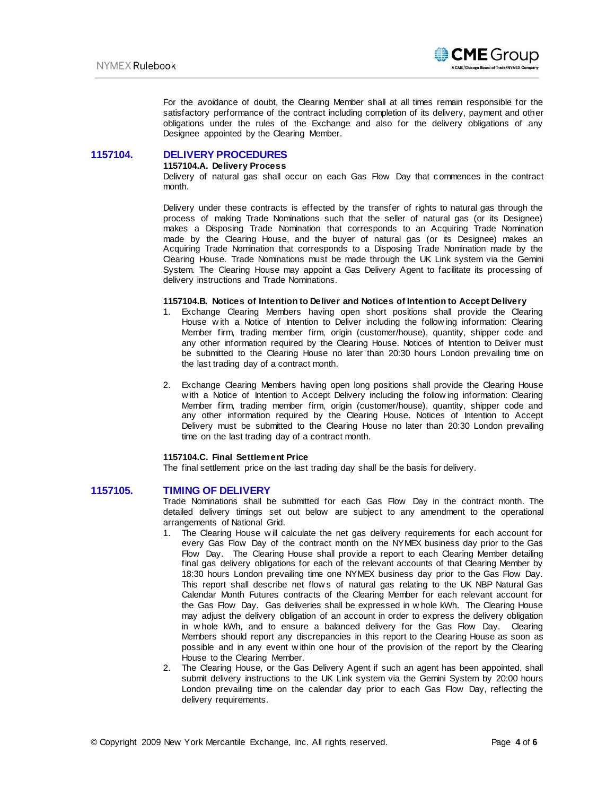

For the avoidance of doubt, the Clearing Member shall at all times remain responsible for the satisfactory performance of the contract including completion of its delivery, payment and other obligations under the rules of the Exchange and also for the delivery obligations of any Designee appointed by the Clearing Member.

# **1157104. DELIVERY PROCEDURES**

#### **1157104.A. Delivery Process**

Delivery of natural gas shall occur on each Gas Flow Day that commences in the contract month.

Delivery under these contracts is effected by the transfer of rights to natural gas through the process of making Trade Nominations such that the seller of natural gas (or its Designee) makes a Disposing Trade Nomination that corresponds to an Acquiring Trade Nomination made by the Clearing House, and the buyer of natural gas (or its Designee) makes an Acquiring Trade Nomination that corresponds to a Disposing Trade Nomination made by the Clearing House. Trade Nominations must be made through the UK Link system via the Gemini System. The Clearing House may appoint a Gas Delivery Agent to facilitate its processing of delivery instructions and Trade Nominations.

# **1157104.B. Notices of Intention to Deliver and Notices of Intention to Accept Delivery**

- 1. Exchange Clearing Members having open short positions shall provide the Clearing House w ith a Notice of Intention to Deliver including the follow ing information: Clearing Member firm, trading member firm, origin (customer/house), quantity, shipper code and any other information required by the Clearing House. Notices of Intention to Deliver must be submitted to the Clearing House no later than 20:30 hours London prevailing time on the last trading day of a contract month.
- 2. Exchange Clearing Members having open long positions shall provide the Clearing House w ith a Notice of Intention to Accept Delivery including the follow ing information: Clearing Member firm, trading member firm, origin (customer/house), quantity, shipper code and any other information required by the Clearing House. Notices of Intention to Accept Delivery must be submitted to the Clearing House no later than 20:30 London prevailing time on the last trading day of a contract month.

### **1157104.C. Final Settlement Price**

The final settlement price on the last trading day shall be the basis for delivery.

## **1157105. TIMING OF DELIVERY**

Trade Nominations shall be submitted for each Gas Flow Day in the contract month. The detailed delivery timings set out below are subject to any amendment to the operational arrangements of National Grid.

- 1. The Clearing House w ill calculate the net gas delivery requirements for each account for every Gas Flow Day of the contract month on the NYMEX business day prior to the Gas Flow Day. The Clearing House shall provide a report to each Clearing Member detailing final gas delivery obligations for each of the relevant accounts of that Clearing Member by 18:30 hours London prevailing time one NYMEX business day prior to the Gas Flow Day. This report shall describe net flow s of natural gas relating to the UK NBP Natural Gas Calendar Month Futures contracts of the Clearing Member for each relevant account for the Gas Flow Day. Gas deliveries shall be expressed in w hole kWh. The Clearing House may adjust the delivery obligation of an account in order to express the delivery obligation in w hole kWh, and to ensure a balanced delivery for the Gas Flow Day. Clearing Members should report any discrepancies in this report to the Clearing House as soon as possible and in any event w ithin one hour of the provision of the report by the Clearing House to the Clearing Member.
- 2. The Clearing House, or the Gas Delivery Agent if such an agent has been appointed, shall submit delivery instructions to the UK Link system via the Gemini System by 20:00 hours London prevailing time on the calendar day prior to each Gas Flow Day, reflecting the delivery requirements.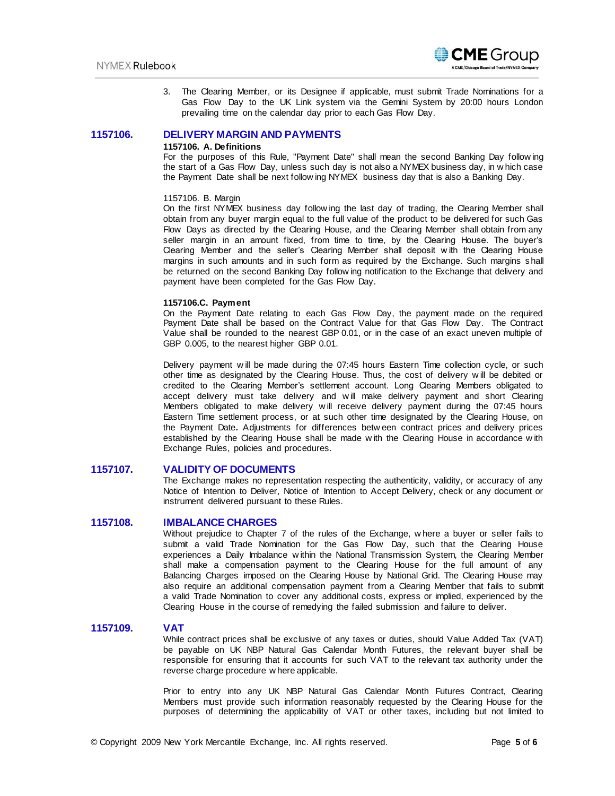

3. The Clearing Member, or its Designee if applicable, must submit Trade Nominations for a Gas Flow Day to the UK Link system via the Gemini System by 20:00 hours London prevailing time on the calendar day prior to each Gas Flow Day.

# **1157106. DELIVERY MARGIN AND PAYMENTS**

#### **1157106. A. Definitions**

For the purposes of this Rule, "Payment Date" shall mean the second Banking Day follow ing the start of a Gas Flow Day, unless such day is not also a NYMEX business day, in w hich case the Payment Date shall be next follow ing NYMEX business day that is also a Banking Day.

## 1157106. B. Margin

On the first NYMEX business day follow ing the last day of trading, the Clearing Member shall obtain from any buyer margin equal to the full value of the product to be delivered for such Gas Flow Days as directed by the Clearing House, and the Clearing Member shall obtain from any seller margin in an amount fixed, from time to time, by the Clearing House. The buyer's Clearing Member and the seller's Clearing Member shall deposit w ith the Clearing House margins in such amounts and in such form as required by the Exchange. Such margins s hall be returned on the second Banking Day follow ing notification to the Exchange that delivery and payment have been completed for the Gas Flow Day.

## **1157106.C. Payment**

On the Payment Date relating to each Gas Flow Day, the payment made on the required Payment Date shall be based on the Contract Value for that Gas Flow Day. The Contract Value shall be rounded to the nearest GBP 0.01, or in the case of an exact uneven multiple of GBP 0.005, to the nearest higher GBP 0.01.

Delivery payment w ill be made during the 07:45 hours Eastern Time collection cycle, or such other time as designated by the Clearing House. Thus, the cost of delivery w ill be debited or credited to the Clearing Member's settlement account. Long Clearing Members obligated to accept delivery must take delivery and w ill make delivery payment and short Clearing Members obligated to make delivery w ill receive delivery payment during the 07:45 hours Eastern Time settlement process, or at such other time designated by the Clearing House, on the Payment Date**.** Adjustments for differences betw een contract prices and delivery prices established by the Clearing House shall be made w ith the Clearing House in accordance w ith Exchange Rules, policies and procedures.

# **1157107. VALIDITY OF DOCUMENTS**

The Exchange makes no representation respecting the authenticity, validity, or accuracy of any Notice of Intention to Deliver, Notice of Intention to Accept Delivery, check or any document or instrument delivered pursuant to these Rules.

# **1157108. IMBALANCE CHARGES**

Without prejudice to Chapter 7 of the rules of the Exchange, w here a buyer or seller fails to submit a valid Trade Nomination for the Gas Flow Day, such that the Clearing House experiences a Daily Imbalance w ithin the National Transmission System, the Clearing Member shall make a compensation payment to the Clearing House for the full amount of any Balancing Charges imposed on the Clearing House by National Grid. The Clearing House may also require an additional compensation payment from a Clearing Member that fails to submit a valid Trade Nomination to cover any additional costs, express or implied, experienced by the Clearing House in the course of remedying the failed submission and failure to deliver.

# **1157109. VAT**

While contract prices shall be exclusive of any taxes or duties, should Value Added Tax (VAT) be payable on UK NBP Natural Gas Calendar Month Futures, the relevant buyer shall be responsible for ensuring that it accounts for such VAT to the relevant tax authority under the reverse charge procedure w here applicable.

Prior to entry into any UK NBP Natural Gas Calendar Month Futures Contract, Clearing Members must provide such information reasonably requested by the Clearing House for the purposes of determining the applicability of VAT or other taxes, including but not limited to